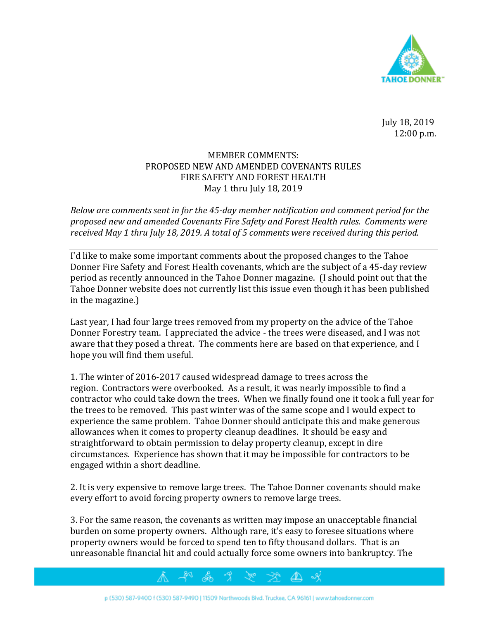

July 18, 2019 12:00 p.m.

## MEMBER COMMENTS: PROPOSED NEW AND AMENDED COVENANTS RULES FIRE SAFETY AND FOREST HEALTH May 1 thru July 18, 2019

*Below are comments sent in for the 45-day member notification and comment period for the proposed new and amended Covenants Fire Safety and Forest Health rules. Comments were received May 1 thru July 18, 2019. A total of 5 comments were received during this period.*

I'd like to make some important comments about the proposed changes to the Tahoe Donner Fire Safety and Forest Health covenants, which are the subject of a 45-day review period as recently announced in the Tahoe Donner magazine. (I should point out that the Tahoe Donner website does not currently list this issue even though it has been published in the magazine.)

Last year, I had four large trees removed from my property on the advice of the Tahoe Donner Forestry team. I appreciated the advice - the trees were diseased, and I was not aware that they posed a threat. The comments here are based on that experience, and I hope you will find them useful.

1. The winter of 2016-2017 caused widespread damage to trees across the region. Contractors were overbooked. As a result, it was nearly impossible to find a contractor who could take down the trees. When we finally found one it took a full year for the trees to be removed. This past winter was of the same scope and I would expect to experience the same problem. Tahoe Donner should anticipate this and make generous allowances when it comes to property cleanup deadlines. It should be easy and straightforward to obtain permission to delay property cleanup, except in dire circumstances. Experience has shown that it may be impossible for contractors to be engaged within a short deadline.

2. It is very expensive to remove large trees. The Tahoe Donner covenants should make every effort to avoid forcing property owners to remove large trees.

3. For the same reason, the covenants as written may impose an unacceptable financial burden on some property owners. Although rare, it's easy to foresee situations where property owners would be forced to spend ten to fifty thousand dollars. That is an unreasonable financial hit and could actually force some owners into bankruptcy. The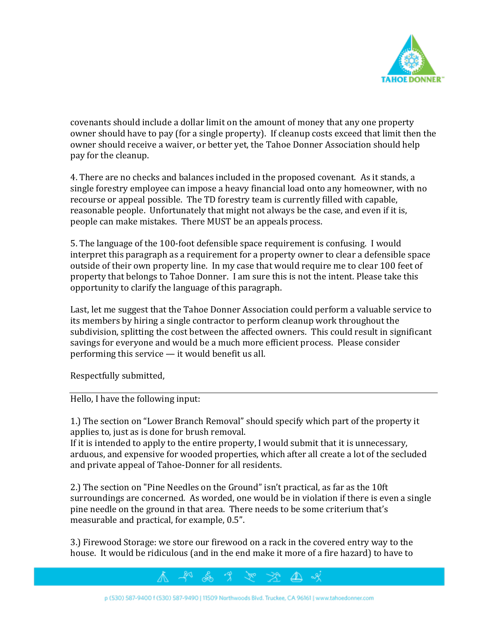

covenants should include a dollar limit on the amount of money that any one property owner should have to pay (for a single property). If cleanup costs exceed that limit then the owner should receive a waiver, or better yet, the Tahoe Donner Association should help pay for the cleanup.

4. There are no checks and balances included in the proposed covenant. As it stands, a single forestry employee can impose a heavy financial load onto any homeowner, with no recourse or appeal possible. The TD forestry team is currently filled with capable, reasonable people. Unfortunately that might not always be the case, and even if it is, people can make mistakes. There MUST be an appeals process.

5. The language of the 100-foot defensible space requirement is confusing. I would interpret this paragraph as a requirement for a property owner to clear a defensible space outside of their own property line. In my case that would require me to clear 100 feet of property that belongs to Tahoe Donner. I am sure this is not the intent. Please take this opportunity to clarify the language of this paragraph.

Last, let me suggest that the Tahoe Donner Association could perform a valuable service to its members by hiring a single contractor to perform cleanup work throughout the subdivision, splitting the cost between the affected owners. This could result in significant savings for everyone and would be a much more efficient process. Please consider performing this service — it would benefit us all.

Respectfully submitted,

Hello, I have the following input:

1.) The section on "Lower Branch Removal" should specify which part of the property it applies to, just as is done for brush removal.

If it is intended to apply to the entire property, I would submit that it is unnecessary, arduous, and expensive for wooded properties, which after all create a lot of the secluded and private appeal of Tahoe-Donner for all residents.

2.) The section on "Pine Needles on the Ground" isn't practical, as far as the 10ft surroundings are concerned. As worded, one would be in violation if there is even a single pine needle on the ground in that area. There needs to be some criterium that's measurable and practical, for example, 0.5".

3.) Firewood Storage: we store our firewood on a rack in the covered entry way to the house. It would be ridiculous (and in the end make it more of a fire hazard) to have to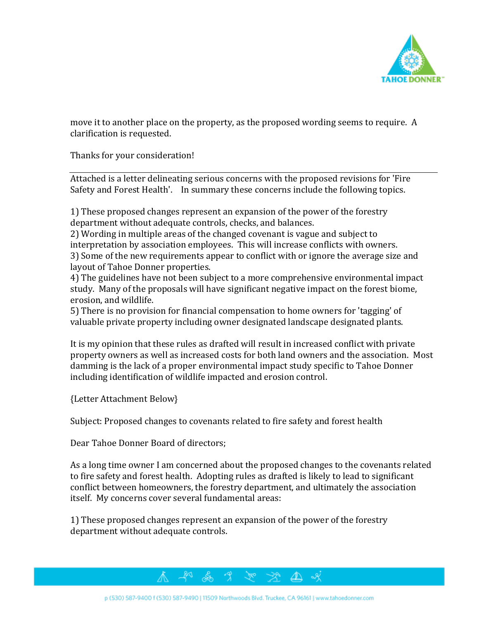

move it to another place on the property, as the proposed wording seems to require. A clarification is requested.

Thanks for your consideration!

Attached is a letter delineating serious concerns with the proposed revisions for 'Fire Safety and Forest Health'. In summary these concerns include the following topics.

1) These proposed changes represent an expansion of the power of the forestry department without adequate controls, checks, and balances.

2) Wording in multiple areas of the changed covenant is vague and subject to interpretation by association employees. This will increase conflicts with owners. 3) Some of the new requirements appear to conflict with or ignore the average size and layout of Tahoe Donner properties.

4) The guidelines have not been subject to a more comprehensive environmental impact study. Many of the proposals will have significant negative impact on the forest biome, erosion, and wildlife.

5) There is no provision for financial compensation to home owners for 'tagging' of valuable private property including owner designated landscape designated plants.

It is my opinion that these rules as drafted will result in increased conflict with private property owners as well as increased costs for both land owners and the association. Most damming is the lack of a proper environmental impact study specific to Tahoe Donner including identification of wildlife impacted and erosion control.

{Letter Attachment Below}

Subject: Proposed changes to covenants related to fire safety and forest health

Dear Tahoe Donner Board of directors;

As a long time owner I am concerned about the proposed changes to the covenants related to fire safety and forest health. Adopting rules as drafted is likely to lead to significant conflict between homeowners, the forestry department, and ultimately the association itself. My concerns cover several fundamental areas:

⚠

1) These proposed changes represent an expansion of the power of the forestry department without adequate controls.



& 9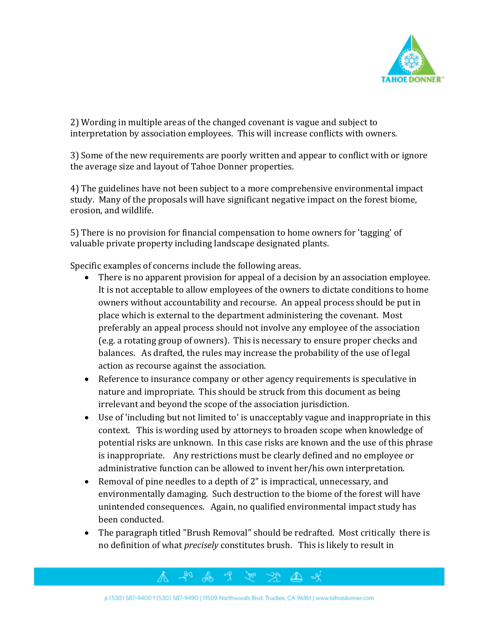

2) Wording in multiple areas of the changed covenant is vague and subject to interpretation by association employees. This will increase conflicts with owners.

3) Some of the new requirements are poorly written and appear to conflict with or ignore the average size and layout of Tahoe Donner properties.

4) The guidelines have not been subject to a more comprehensive environmental impact study. Many of the proposals will have significant negative impact on the forest biome, erosion, and wildlife.

5) There is no provision for financial compensation to home owners for 'tagging' of valuable private property including landscape designated plants.

Specific examples of concerns include the following areas.

- There is no apparent provision for appeal of a decision by an association employee. It is not acceptable to allow employees of the owners to dictate conditions to home owners without accountability and recourse. An appeal process should be put in place which is external to the department administering the covenant. Most preferably an appeal process should not involve any employee of the association (e.g. a rotating group of owners). This is necessary to ensure proper checks and balances. As drafted, the rules may increase the probability of the use of legal action as recourse against the association.
- Reference to insurance company or other agency requirements is speculative in nature and impropriate. This should be struck from this document as being irrelevant and beyond the scope of the association jurisdiction.
- Use of 'including but not limited to' is unacceptably vague and inappropriate in this context. This is wording used by attorneys to broaden scope when knowledge of potential risks are unknown. In this case risks are known and the use of this phrase is inappropriate. Any restrictions must be clearly defined and no employee or administrative function can be allowed to invent her/his own interpretation.
- Removal of pine needles to a depth of 2" is impractical, unnecessary, and environmentally damaging. Such destruction to the biome of the forest will have unintended consequences. Again, no qualified environmental impact study has been conducted.
- The paragraph titled "Brush Removal" should be redrafted. Most critically there is no definition of what *precisely* constitutes brush. This is likely to result in

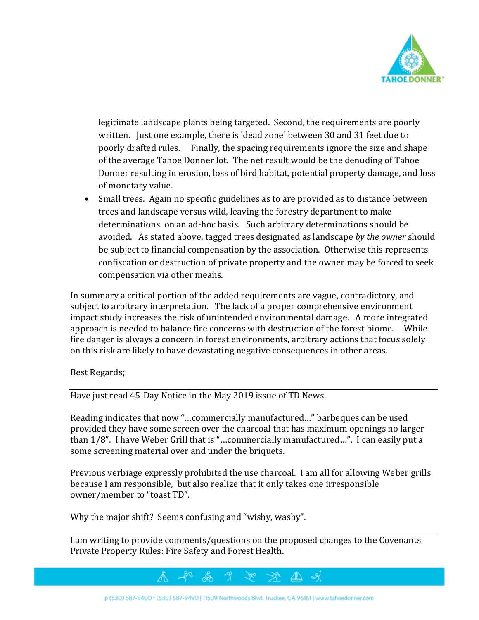

legitimate landscape plants being targeted. Second, the requirements are poorly written. Just one example, there is 'dead zone' between 30 and 31 feet due to poorly drafted rules. Finally, the spacing requirements ignore the size and shape of the average Tahoe Donner lot. The net result would be the denuding of Tahoe Donner resulting in erosion, loss of bird habitat, potential property damage, and loss of monetary value.

• Small trees. Again no specific guidelines as to are provided as to distance between trees and landscape versus wild, leaving the forestry department to make determinations on an ad-hoc basis. Such arbitrary determinations should be avoided. As stated above, tagged trees designated as landscape *by the owner* should be subject to financial compensation by the association. Otherwise this represents confiscation or destruction of private property and the owner may be forced to seek compensation via other means.

In summary a critical portion of the added requirements are vague, contradictory, and subject to arbitrary interpretation. The lack of a proper comprehensive environment impact study increases the risk of unintended environmental damage. A more integrated approach is needed to balance fire concerns with destruction of the forest biome. While fire danger is always a concern in forest environments, arbitrary actions that focus solely on this risk are likely to have devastating negative consequences in other areas.

Best Regards;

Have just read 45-Day Notice in the May 2019 issue of TD News.

Reading indicates that now "…commercially manufactured…" barbeques can be used provided they have some screen over the charcoal that has maximum openings no larger than 1/8". I have Weber Grill that is "…commercially manufactured…". I can easily put a some screening material over and under the briquets.

Previous verbiage expressly prohibited the use charcoal. I am all for allowing Weber grills because I am responsible, but also realize that it only takes one irresponsible owner/member to "toast TD".

Why the major shift? Seems confusing and "wishy, washy".

I am writing to provide comments/questions on the proposed changes to the Covenants Private Property Rules: Fire Safety and Forest Health.